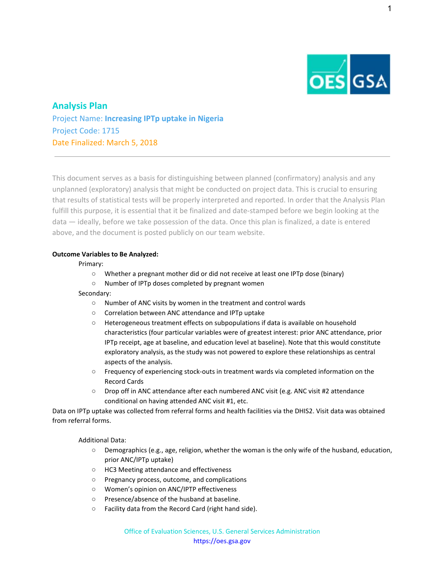

# **Analysis Plan**

Project Name: **Increasing IPTp uptake in Nigeria** Project Code: 1715 Date Finalized: March 5, 2018

This document serves as a basis for distinguishing between planned (confirmatory) analysis and any unplanned (exploratory) analysis that might be conducted on project data. This is crucial to ensuring that results of statistical tests will be properly interpreted and reported. In order that the Analysis Plan fulfill this purpose, it is essential that it be finalized and date-stamped before we begin looking at the data — ideally, before we take possession of the data. Once this plan is finalized, a date is entered above, and the document is posted publicly on our team website.

### **Outcome Variables to Be Analyzed:**

### Primary:

- Whether a pregnant mother did or did not receive at least one IPTp dose (binary)
- Number of IPTp doses completed by pregnant women

## Secondary:

- Number of ANC visits by women in the treatment and control wards
- Correlation between ANC attendance and IPTp uptake
- Heterogeneous treatment effects on subpopulations if data is available on household characteristics (four particular variables were of greatest interest: prior ANC attendance, prior IPTp receipt, age at baseline, and education level at baseline). Note that this would constitute exploratory analysis, as the study was not powered to explore these relationships as central aspects of the analysis.
- Frequency of experiencing stock-outs in treatment wards via completed information on the Record Cards
- Drop off in ANC attendance after each numbered ANC visit (e.g. ANC visit #2 attendance conditional on having attended ANC visit #1, etc.

Data on IPTp uptake was collected from referral forms and health facilities via the DHIS2. Visit data was obtained from referral forms.

Additional Data:

- Demographics (e.g., age, religion, whether the woman is the only wife of the husband, education, prior ANC/IPTp uptake)
- HC3 Meeting attendance and effectiveness
- Pregnancy process, outcome, and complications
- Women's opinion on ANC/IPTP effectiveness
- Presence/absence of the husband at baseline.
- Facility data from the Record Card (right hand side).

Office of Evaluation Sciences, U.S. General Services Administration https://oes.gsa.gov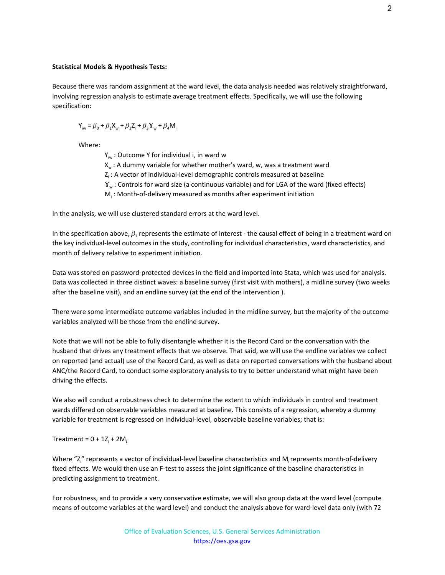#### **Statistical Models & Hypothesis Tests:**

Because there was random assignment at the ward level, the data analysis needed was relatively straightforward, involving regression analysis to estimate average treatment effects. Specifically, we will use the following specification:

 $Y_{iw} = \beta_0 + \beta_1 X_w + \beta_2 Z_i + \beta_3 Y_w + \beta_4 M_i$ 

Where:

 $Y_{iw}$ : Outcome Y for individual i, in ward w X<sub>w</sub> : A dummy variable for whether mother's ward, w, was a treatment ward  $Z_i$ : A vector of individual-level demographic controls measured at baseline  $\text{Y}_{\text{w}}$  : Controls for ward size (a continuous variable) and for LGA of the ward (fixed effects)  $M_i$ : Month-of-delivery measured as months after experiment initiation

In the analysis, we will use clustered standard errors at the ward level.

In the specification above,  $\beta_1$  represents the estimate of interest - the causal effect of being in a treatment ward on the key individual-level outcomes in the study, controlling for individual characteristics, ward characteristics, and month of delivery relative to experiment initiation.

Data was stored on password-protected devices in the field and imported into Stata, which was used for analysis. Data was collected in three distinct waves: a baseline survey (first visit with mothers), a midline survey (two weeks after the baseline visit), and an endline survey (at the end of the intervention ).

There were some intermediate outcome variables included in the midline survey, but the majority of the outcome variables analyzed will be those from the endline survey.

Note that we will not be able to fully disentangle whether it is the Record Card or the conversation with the husband that drives any treatment effects that we observe. That said, we will use the endline variables we collect on reported (and actual) use of the Record Card, as well as data on reported conversations with the husband about ANC/the Record Card, to conduct some exploratory analysis to try to better understand what might have been driving the effects.

We also will conduct a robustness check to determine the extent to which individuals in control and treatment wards differed on observable variables measured at baseline. This consists of a regression, whereby a dummy variable for treatment is regressed on individual-level, observable baseline variables; that is:

Treatment =  $0 + 1Z_i + 2M_i$ 

Where "Z<sub>i</sub>" represents a vector of individual-level baseline characteristics and M<sub>i</sub> represents month-of-delivery fixed effects. We would then use an F-test to assess the joint significance of the baseline characteristics in predicting assignment to treatment.

For robustness, and to provide a very conservative estimate, we will also group data at the ward level (compute means of outcome variables at the ward level) and conduct the analysis above for ward-level data only (with 72

> Office of Evaluation Sciences, U.S. General Services Administration https://oes.gsa.gov